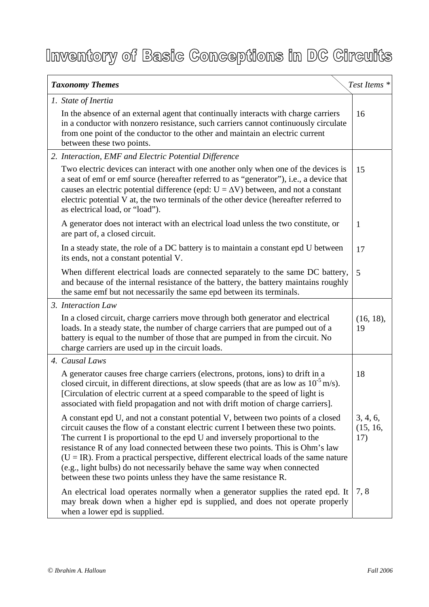## Inventory of Basic Conceptions in DC Circuits

| <b>Taxonomy Themes</b>                                                                                                                                                                                                                                                                                                                                                                                                                                                                                                                                                                | Test Items <sup>*</sup>     |
|---------------------------------------------------------------------------------------------------------------------------------------------------------------------------------------------------------------------------------------------------------------------------------------------------------------------------------------------------------------------------------------------------------------------------------------------------------------------------------------------------------------------------------------------------------------------------------------|-----------------------------|
| 1. State of Inertia<br>In the absence of an external agent that continually interacts with charge carriers<br>in a conductor with nonzero resistance, such carriers cannot continuously circulate<br>from one point of the conductor to the other and maintain an electric current<br>between these two points.                                                                                                                                                                                                                                                                       | 16                          |
| 2. Interaction, EMF and Electric Potential Difference                                                                                                                                                                                                                                                                                                                                                                                                                                                                                                                                 |                             |
| Two electric devices can interact with one another only when one of the devices is<br>a seat of emf or emf source (hereafter referred to as "generator"), i.e., a device that<br>causes an electric potential difference (epd: $U = \Delta V$ ) between, and not a constant<br>electric potential V at, the two terminals of the other device (hereafter referred to<br>as electrical load, or "load").                                                                                                                                                                               | 15                          |
| A generator does not interact with an electrical load unless the two constitute, or<br>are part of, a closed circuit.                                                                                                                                                                                                                                                                                                                                                                                                                                                                 | $\mathbf{1}$                |
| In a steady state, the role of a DC battery is to maintain a constant epd U between<br>its ends, not a constant potential V.                                                                                                                                                                                                                                                                                                                                                                                                                                                          | 17                          |
| When different electrical loads are connected separately to the same DC battery,<br>and because of the internal resistance of the battery, the battery maintains roughly<br>the same emf but not necessarily the same epd between its terminals.                                                                                                                                                                                                                                                                                                                                      | 5                           |
| 3. Interaction Law                                                                                                                                                                                                                                                                                                                                                                                                                                                                                                                                                                    |                             |
| In a closed circuit, charge carriers move through both generator and electrical<br>loads. In a steady state, the number of charge carriers that are pumped out of a<br>battery is equal to the number of those that are pumped in from the circuit. No<br>charge carriers are used up in the circuit loads.                                                                                                                                                                                                                                                                           | (16, 18),<br>19             |
| 4. Causal Laws                                                                                                                                                                                                                                                                                                                                                                                                                                                                                                                                                                        |                             |
| A generator causes free charge carriers (electrons, protons, ions) to drift in a<br>closed circuit, in different directions, at slow speeds (that are as low as $10^{-5}$ m/s).<br>[Circulation of electric current at a speed comparable to the speed of light is<br>associated with field propagation and not with drift motion of charge carriers].                                                                                                                                                                                                                                | 18                          |
| A constant epd U, and not a constant potential V, between two points of a closed<br>circuit causes the flow of a constant electric current I between these two points.<br>The current I is proportional to the epd U and inversely proportional to the<br>resistance R of any load connected between these two points. This is Ohm's law<br>$(U = IR)$ . From a practical perspective, different electrical loads of the same nature<br>(e.g., light bulbs) do not necessarily behave the same way when connected<br>between these two points unless they have the same resistance R. | 3, 4, 6,<br>(15, 16,<br>17) |
| An electrical load operates normally when a generator supplies the rated epd. It<br>may break down when a higher epd is supplied, and does not operate properly<br>when a lower epd is supplied.                                                                                                                                                                                                                                                                                                                                                                                      | 7,8                         |